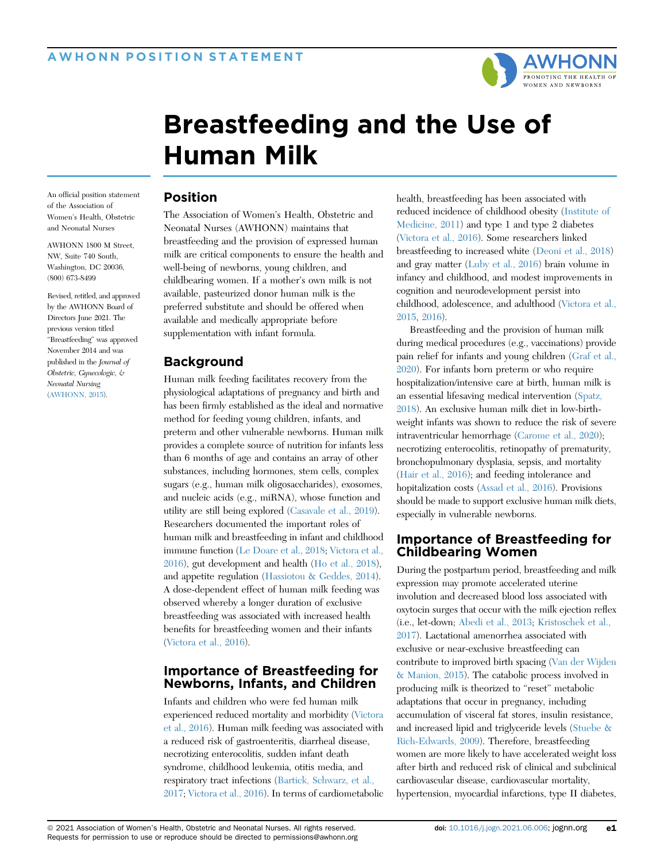

# Breastfeeding and the Use of Human Milk

An official position statement of the Association of Women's Health, Obstetric and Neonatal Nurses

AWHONN 1800 M Street, NW, Suite 740 South, Washington, DC 20036, (800) 673-8499

Revised, retitled, and approved by the AWHONN Board of Directors June 2021. The previous version titled "Breastfeeding" was approved November 2014 and was published in the Journal of Obstetric, Gynecologic, & Neonatal Nursing [\(AWHONN, 2015\)](#page-3-14).

#### Position

The Association of Women's Health, Obstetric and Neonatal Nurses (AWHONN) maintains that breastfeeding and the provision of expressed human milk are critical components to ensure the health and well-being of newborns, young children, and childbearing women. If a mother's own milk is not available, pasteurized donor human milk is the preferred substitute and should be offered when available and medically appropriate before supplementation with infant formula.

#### Background

Human milk feeding facilitates recovery from the physiological adaptations of pregnancy and birth and has been firmly established as the ideal and normative method for feeding young children, infants, and preterm and other vulnerable newborns. Human milk provides a complete source of nutrition for infants less than 6 months of age and contains an array of other substances, including hormones, stem cells, complex sugars (e.g., human milk oligosaccharides), exosomes, and nucleic acids (e.g., miRNA), whose function and utility are still being explored ([Casavale et al., 2019](#page-3-0)). Researchers documented the important roles of human milk and breastfeeding in infant and childhood immune function [\(Le Doare et al., 2018](#page-3-1); [Victora et al.,](#page-4-0) [2016\)](#page-4-0), gut development and health [\(Ho et al., 2018\)](#page-3-2), and appetite regulation ([Hassiotou & Geddes, 2014](#page-3-3)). A dose-dependent effect of human milk feeding was observed whereby a longer duration of exclusive breastfeeding was associated with increased health benefits for breastfeeding women and their infants ([Victora et al., 2016](#page-4-0)).

### Importance of Breastfeeding for Newborns, Infants, and Children

Infants and children who were fed human milk experienced reduced mortality and morbidity [\(Victora](#page-4-0) [et al., 2016\)](#page-4-0). Human milk feeding was associated with a reduced risk of gastroenteritis, diarrheal disease, necrotizing enterocolitis, sudden infant death syndrome, childhood leukemia, otitis media, and respiratory tract infections [\(Bartick, Schwarz, et al.,](#page-3-4) [2017;](#page-3-4) [Victora et al., 2016\)](#page-4-0). In terms of cardiometabolic health, breastfeeding has been associated with reduced incidence of childhood obesity ([Institute of](#page-3-5) [Medicine, 2011](#page-3-5)) and type 1 and type 2 diabetes [\(Victora et al., 2016](#page-4-0)). Some researchers linked breastfeeding to increased white [\(Deoni et al., 2018\)](#page-3-6) and gray matter [\(Luby et al., 2016](#page-3-7)) brain volume in infancy and childhood, and modest improvements in cognition and neurodevelopment persist into childhood, adolescence, and adulthood [\(Victora et al.,](#page-4-1) [2015](#page-4-1), [2016](#page-4-0)).

Breastfeeding and the provision of human milk during medical procedures (e.g., vaccinations) provide pain relief for infants and young children ([Graf et al.,](#page-3-8) [2020](#page-3-8)). For infants born preterm or who require hospitalization/intensive care at birth, human milk is an essential lifesaving medical intervention [\(Spatz,](#page-4-2) [2018](#page-4-2)). An exclusive human milk diet in low-birthweight infants was shown to reduce the risk of severe intraventricular hemorrhage [\(Carome et al., 2020](#page-3-9)); necrotizing enterocolitis, retinopathy of prematurity, bronchopulmonary dysplasia, sepsis, and mortality [\(Hair et al., 2016\)](#page-3-10); and feeding intolerance and hopitalization costs [\(Assad et al., 2016\)](#page-3-11). Provisions should be made to support exclusive human milk diets, especially in vulnerable newborns.

#### Importance of Breastfeeding for Childbearing Women

During the postpartum period, breastfeeding and milk expression may promote accelerated uterine involution and decreased blood loss associated with oxytocin surges that occur with the milk ejection reflex (i.e., let-down; [Abedi et al., 2013](#page-3-12); [Kristoschek et al.,](#page-3-13) [2017](#page-3-13)). Lactational amenorrhea associated with exclusive or near-exclusive breastfeeding can contribute to improved birth spacing ([Van der Wijden](#page-4-3) [& Manion, 2015\)](#page-4-3). The catabolic process involved in producing milk is theorized to "reset" metabolic adaptations that occur in pregnancy, including accumulation of visceral fat stores, insulin resistance, and increased lipid and triglyceride levels ([Stuebe &](#page-4-4) [Rich-Edwards, 2009\)](#page-4-4). Therefore, breastfeeding women are more likely to have accelerated weight loss after birth and reduced risk of clinical and subclinical cardiovascular disease, cardiovascular mortality, hypertension, myocardial infarctions, type II diabetes,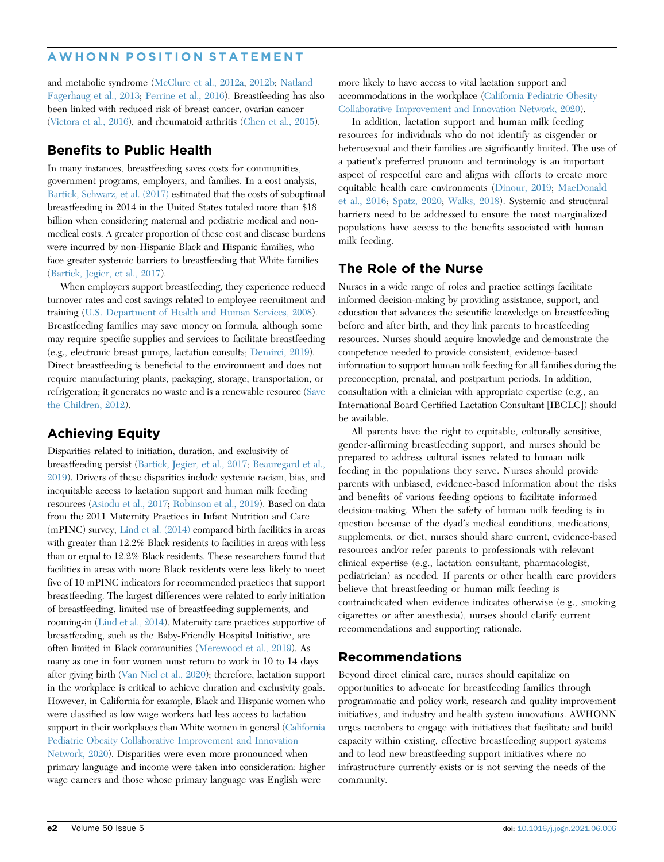and metabolic syndrome [\(McClure et al., 2012a,](#page-3-15) [2012b;](#page-3-16) [Natland](#page-4-5) [Fagerhaug et al., 2013;](#page-4-5) [Perrine et al., 2016](#page-4-6)). Breastfeeding has also been linked with reduced risk of breast cancer, ovarian cancer ([Victora et al., 2016\)](#page-4-0), and rheumatoid arthritis [\(Chen et al., 2015\)](#page-3-17).

# Benefits to Public Health

In many instances, breastfeeding saves costs for communities, government programs, employers, and families. In a cost analysis, [Bartick, Schwarz, et al. \(2017\)](#page-3-4) estimated that the costs of suboptimal breastfeeding in 2014 in the United States totaled more than \$18 billion when considering maternal and pediatric medical and nonmedical costs. A greater proportion of these cost and disease burdens were incurred by non-Hispanic Black and Hispanic families, who face greater systemic barriers to breastfeeding that White families ([Bartick, Jegier, et al., 2017](#page-3-18)).

When employers support breastfeeding, they experience reduced turnover rates and cost savings related to employee recruitment and training [\(U.S. Department of Health and Human Services, 2008\)](#page-4-7). Breastfeeding families may save money on formula, although some may require specific supplies and services to facilitate breastfeeding (e.g., electronic breast pumps, lactation consults; [Demirci, 2019](#page-3-19)). Direct breastfeeding is beneficial to the environment and does not require manufacturing plants, packaging, storage, transportation, or refrigeration; it generates no waste and is a renewable resource ([Save](#page-4-8) [the Children, 2012\)](#page-4-8).

# Achieving Equity

Disparities related to initiation, duration, and exclusivity of breastfeeding persist [\(Bartick, Jegier, et al., 2017;](#page-3-4) [Beauregard et al.,](#page-3-20) [2019\)](#page-3-20). Drivers of these disparities include systemic racism, bias, and inequitable access to lactation support and human milk feeding resources [\(Asiodu et al., 2017](#page-3-21); [Robinson et al., 2019\)](#page-4-9). Based on data from the 2011 Maternity Practices in Infant Nutrition and Care (mPINC) survey, [Lind et al. \(2014\)](#page-3-22) compared birth facilities in areas with greater than 12.2% Black residents to facilities in areas with less than or equal to 12.2% Black residents. These researchers found that facilities in areas with more Black residents were less likely to meet five of 10 mPINC indicators for recommended practices that support breastfeeding. The largest differences were related to early initiation of breastfeeding, limited use of breastfeeding supplements, and rooming-in ([Lind et al., 2014](#page-3-22)). Maternity care practices supportive of breastfeeding, such as the Baby-Friendly Hospital Initiative, are often limited in Black communities [\(Merewood et al., 2019\)](#page-4-10). As many as one in four women must return to work in 10 to 14 days after giving birth ([Van Niel et al., 2020\)](#page-4-11); therefore, lactation support in the workplace is critical to achieve duration and exclusivity goals. However, in California for example, Black and Hispanic women who were classified as low wage workers had less access to lactation support in their workplaces than White women in general [\(California](#page-3-23) [Pediatric Obesity Collaborative Improvement and Innovation](#page-3-23) [Network, 2020](#page-3-23)). Disparities were even more pronounced when primary language and income were taken into consideration: higher wage earners and those whose primary language was English were

more likely to have access to vital lactation support and accommodations in the workplace ([California Pediatric Obesity](#page-3-23) [Collaborative Improvement and Innovation Network, 2020](#page-3-23)).

In addition, lactation support and human milk feeding resources for individuals who do not identify as cisgender or heterosexual and their families are significantly limited. The use of a patient's preferred pronoun and terminology is an important aspect of respectful care and aligns with efforts to create more equitable health care environments ([Dinour, 2019](#page-3-24); [MacDonald](#page-3-25) [et al., 2016](#page-3-25); [Spatz, 2020](#page-4-12); [Walks, 2018\)](#page-4-13). Systemic and structural barriers need to be addressed to ensure the most marginalized populations have access to the benefits associated with human milk feeding.

## The Role of the Nurse

Nurses in a wide range of roles and practice settings facilitate informed decision-making by providing assistance, support, and education that advances the scientific knowledge on breastfeeding before and after birth, and they link parents to breastfeeding resources. Nurses should acquire knowledge and demonstrate the competence needed to provide consistent, evidence-based information to support human milk feeding for all families during the preconception, prenatal, and postpartum periods. In addition, consultation with a clinician with appropriate expertise (e.g., an International Board Certified Lactation Consultant [IBCLC]) should be available.

All parents have the right to equitable, culturally sensitive, gender-affirming breastfeeding support, and nurses should be prepared to address cultural issues related to human milk feeding in the populations they serve. Nurses should provide parents with unbiased, evidence-based information about the risks and benefits of various feeding options to facilitate informed decision-making. When the safety of human milk feeding is in question because of the dyad's medical conditions, medications, supplements, or diet, nurses should share current, evidence-based resources and/or refer parents to professionals with relevant clinical expertise (e.g., lactation consultant, pharmacologist, pediatrician) as needed. If parents or other health care providers believe that breastfeeding or human milk feeding is contraindicated when evidence indicates otherwise (e.g., smoking cigarettes or after anesthesia), nurses should clarify current recommendations and supporting rationale.

## Recommendations

Beyond direct clinical care, nurses should capitalize on opportunities to advocate for breastfeeding families through programmatic and policy work, research and quality improvement initiatives, and industry and health system innovations. AWHONN urges members to engage with initiatives that facilitate and build capacity within existing, effective breastfeeding support systems and to lead new breastfeeding support initiatives where no infrastructure currently exists or is not serving the needs of the community.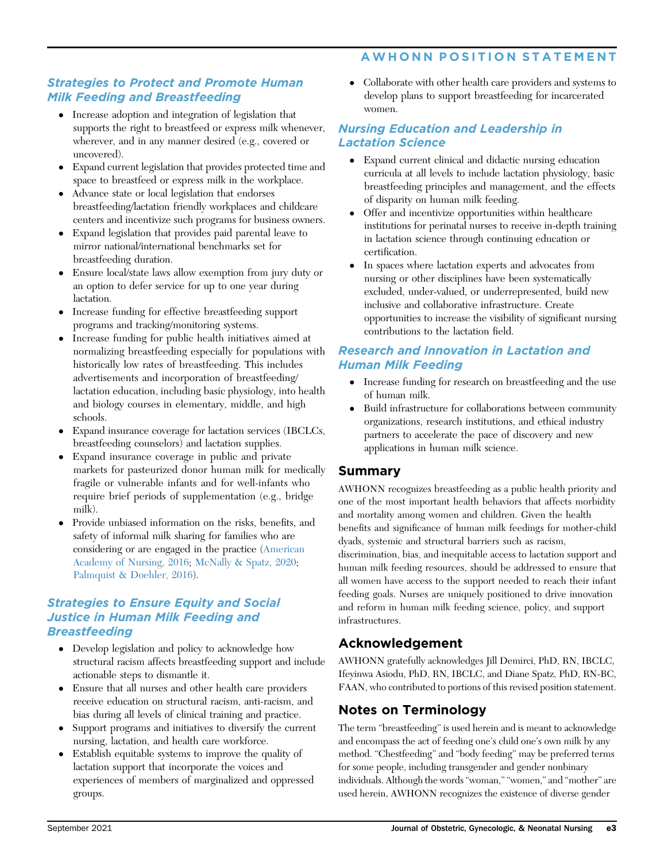## Strategies to Protect and Promote Human Milk Feeding and Breastfeeding

- Increase adoption and integration of legislation that supports the right to breastfeed or express milk whenever, wherever, and in any manner desired (e.g., covered or uncovered).
- Expand current legislation that provides protected time and space to breastfeed or express milk in the workplace.
- Advance state or local legislation that endorses breastfeeding/lactation friendly workplaces and childcare centers and incentivize such programs for business owners.
- Expand legislation that provides paid parental leave to mirror national/international benchmarks set for breastfeeding duration.
- Ensure local/state laws allow exemption from jury duty or an option to defer service for up to one year during lactation.
- Increase funding for effective breastfeeding support programs and tracking/monitoring systems.
- Increase funding for public health initiatives aimed at normalizing breastfeeding especially for populations with historically low rates of breastfeeding. This includes advertisements and incorporation of breastfeeding/ lactation education, including basic physiology, into health and biology courses in elementary, middle, and high schools.
- Expand insurance coverage for lactation services (IBCLCs, breastfeeding counselors) and lactation supplies.
- Expand insurance coverage in public and private markets for pasteurized donor human milk for medically fragile or vulnerable infants and for well-infants who require brief periods of supplementation (e.g., bridge milk).
- Provide unbiased information on the risks, benefits, and safety of informal milk sharing for families who are considering or are engaged in the practice [\(American](#page-3-26) [Academy of Nursing, 2016;](#page-3-26) [McNally & Spatz, 2020](#page-3-27); [Palmquist & Doehler, 2016](#page-4-14)).

## Strategies to Ensure Equity and Social Justice in Human Milk Feeding and **Breastfeeding**

- Develop legislation and policy to acknowledge how structural racism affects breastfeeding support and include actionable steps to dismantle it.
- Ensure that all nurses and other health care providers receive education on structural racism, anti-racism, and bias during all levels of clinical training and practice.
- Support programs and initiatives to diversify the current nursing, lactation, and health care workforce.
- Establish equitable systems to improve the quality of lactation support that incorporate the voices and experiences of members of marginalized and oppressed groups.

 Collaborate with other health care providers and systems to develop plans to support breastfeeding for incarcerated women.

### Nursing Education and Leadership in Lactation Science

- Expand current clinical and didactic nursing education curricula at all levels to include lactation physiology, basic breastfeeding principles and management, and the effects of disparity on human milk feeding.
- Offer and incentivize opportunities within healthcare institutions for perinatal nurses to receive in-depth training in lactation science through continuing education or certification.
- In spaces where lactation experts and advocates from nursing or other disciplines have been systematically excluded, under-valued, or underrepresented, build new inclusive and collaborative infrastructure. Create opportunities to increase the visibility of significant nursing contributions to the lactation field.

## Research and Innovation in Lactation and Human Milk Feeding

- Increase funding for research on breastfeeding and the use of human milk.
- Build infrastructure for collaborations between community organizations, research institutions, and ethical industry partners to accelerate the pace of discovery and new applications in human milk science.

## Summary

AWHONN recognizes breastfeeding as a public health priority and one of the most important health behaviors that affects morbidity and mortality among women and children. Given the health benefits and significance of human milk feedings for mother-child dyads, systemic and structural barriers such as racism,

discrimination, bias, and inequitable access to lactation support and human milk feeding resources, should be addressed to ensure that all women have access to the support needed to reach their infant feeding goals. Nurses are uniquely positioned to drive innovation and reform in human milk feeding science, policy, and support infrastructures.

# Acknowledgement

AWHONN gratefully acknowledges Jill Demirci, PhD, RN, IBCLC, Ifeyinwa Asiodu, PhD, RN, IBCLC, and Diane Spatz, PhD, RN-BC, FAAN, who contributed to portions of this revised position statement.

# Notes on Terminology

The term "breastfeeding" is used herein and is meant to acknowledge and encompass the act of feeding one's child one's own milk by any method. "Chestfeeding" and "body feeding" may be preferred terms for some people, including transgender and gender nonbinary individuals. Although the words"woman," "women," and "mother" are used herein, AWHONN recognizes the existence of diverse gender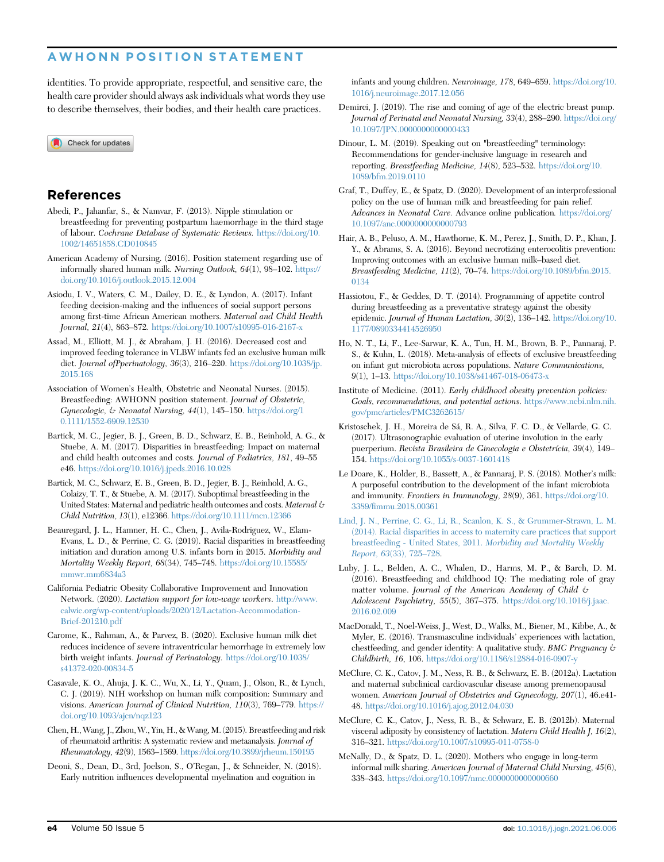identities. To provide appropriate, respectful, and sensitive care, the health care provider should always ask individuals what words they use to describe themselves, their bodies, and their health care practices.

Check for updates

#### References

- <span id="page-3-12"></span>Abedi, P., Jahanfar, S., & Namvar, F. (2013). Nipple stimulation or breastfeeding for preventing postpartum haemorrhage in the third stage of labour. Cochrane Database of Systematic Reviews. [https://doi.org/10.](https://doi.org/10.1002/14651858.CD010845) [1002/14651858.CD010845](https://doi.org/10.1002/14651858.CD010845)
- <span id="page-3-26"></span>American Academy of Nursing. (2016). Position statement regarding use of informally shared human milk. Nursing Outlook, 64(1), 98–102. [https://](https://doi.org/10.1016/j.outlook.2015.12.004) [doi.org/10.1016/j.outlook.2015.12.004](https://doi.org/10.1016/j.outlook.2015.12.004)
- <span id="page-3-21"></span>Asiodu, I. V., Waters, C. M., Dailey, D. E., & Lyndon, A. (2017). Infant feeding decision-making and the influences of social support persons among first-time African American mothers. Maternal and Child Health Journal, 21(4), 863–872. <https://doi.org/10.1007/s10995-016-2167-x>
- <span id="page-3-11"></span>Assad, M., Elliott, M. J., & Abraham, J. H. (2016). Decreased cost and improved feeding tolerance in VLBW infants fed an exclusive human milk diet. Journal ofPperinatology, 36(3), 216–220. [https://doi.org/10.1038/jp.](https://doi.org/10.1038/jp.2015.168) [2015.168](https://doi.org/10.1038/jp.2015.168)
- <span id="page-3-14"></span>Association of Women's Health, Obstetric and Neonatal Nurses. (2015). Breastfeeding: AWHONN position statement. Journal of Obstetric, Gynecologic, & Neonatal Nursing, 44(1), 145–150. [https://doi.org/1](https://doi.org/10.1111/1552-6909.12530) [0.1111/1552-6909.12530](https://doi.org/10.1111/1552-6909.12530)
- <span id="page-3-4"></span>Bartick, M. C., Jegier, B. J., Green, B. D., Schwarz, E. B., Reinhold, A. G., & Stuebe, A. M. (2017). Disparities in breastfeeding: Impact on maternal and child health outcomes and costs. Journal of Pediatrics, 181, 49–55 e46. <https://doi.org/10.1016/j.jpeds.2016.10.028>
- <span id="page-3-18"></span>Bartick, M. C., Schwarz, E. B., Green, B. D., Jegier, B. J., Reinhold, A. G., Colaizy, T. T., & Stuebe, A. M. (2017). Suboptimal breastfeeding in the United States: Maternal and pediatric health outcomes and costs. Maternal  $\psi$ Child Nutrition, 13(1), e12366. <https://doi.org/10.1111/mcn.12366>
- <span id="page-3-20"></span>Beauregard, J. L., Hamner, H. C., Chen, J., Avila-Rodriguez, W., Elam-Evans, L. D., & Perrine, C. G. (2019). Racial disparities in breastfeeding initiation and duration among U.S. infants born in 2015. Morbidity and Mortality Weekly Report, 68(34), 745–748. [https://doi.org/10.15585/](https://doi.org/10.15585/mmwr.mm6834a3) [mmwr.mm6834a3](https://doi.org/10.15585/mmwr.mm6834a3)
- <span id="page-3-23"></span>California Pediatric Obesity Collaborative Improvement and Innovation Network. (2020). Lactation support for low-wage workers. [http://www.](http://www.calwic.org/wp-content/uploads/2020/12/Lactation-Accommodation-Brief-201210.pdf) [calwic.org/wp-content/uploads/2020/12/Lactation-Accommodation-](http://www.calwic.org/wp-content/uploads/2020/12/Lactation-Accommodation-Brief-201210.pdf)[Brief-201210.pdf](http://www.calwic.org/wp-content/uploads/2020/12/Lactation-Accommodation-Brief-201210.pdf)
- <span id="page-3-9"></span>Carome, K., Rahman, A., & Parvez, B. (2020). Exclusive human milk diet reduces incidence of severe intraventricular hemorrhage in extremely low birth weight infants. Journal of Perinatology. [https://doi.org/10.1038/](https://doi.org/10.1038/s41372-020-00834-5) [s41372-020-00834-5](https://doi.org/10.1038/s41372-020-00834-5)
- <span id="page-3-0"></span>Casavale, K. O., Ahuja, J. K. C., Wu, X., Li, Y., Quam, J., Olson, R., & Lynch, C. J. (2019). NIH workshop on human milk composition: Summary and visions. American Journal of Clinical Nutrition, 110(3), 769–779. [https://](https://doi.org/10.1093/ajcn/nqz123) [doi.org/10.1093/ajcn/nqz123](https://doi.org/10.1093/ajcn/nqz123)
- <span id="page-3-17"></span>Chen, H.,Wang, J., Zhou,W., Yin, H., &Wang, M. (2015). Breastfeeding and risk of rheumatoid arthritis: A systematic review and metaanalysis. Journal of Rheumatology, 42(9), 1563–1569. <https://doi.org/10.3899/jrheum.150195>
- <span id="page-3-6"></span>Deoni, S., Dean, D., 3rd, Joelson, S., O'Regan, J., & Schneider, N. (2018). Early nutrition influences developmental myelination and cognition in

infants and young children. Neuroimage, 178, 649–659. [https://doi.org/10.](https://doi.org/10.1016/j.neuroimage.2017.12.056) [1016/j.neuroimage.2017.12.056](https://doi.org/10.1016/j.neuroimage.2017.12.056)

- <span id="page-3-19"></span>Demirci, J. (2019). The rise and coming of age of the electric breast pump. Journal of Perinatal and Neonatal Nursing, 33(4), 288–290. [https://doi.org/](https://doi.org/10.1097/JPN.0000000000000433) [10.1097/JPN.0000000000000433](https://doi.org/10.1097/JPN.0000000000000433)
- <span id="page-3-24"></span>Dinour, L. M. (2019). Speaking out on "breastfeeding" terminology: Recommendations for gender-inclusive language in research and reporting. Breastfeeding Medicine, 14(8), 523–532. [https://doi.org/10.](https://doi.org/10.1089/bfm.2019.0110) [1089/bfm.2019.0110](https://doi.org/10.1089/bfm.2019.0110)
- <span id="page-3-8"></span>Graf, T., Duffey, E., & Spatz, D. (2020). Development of an interprofessional policy on the use of human milk and breastfeeding for pain relief. Advances in Neonatal Care. Advance online publication. [https://doi.org/](https://doi.org/10.1097/anc.0000000000000793) [10.1097/anc.0000000000000793](https://doi.org/10.1097/anc.0000000000000793)
- <span id="page-3-10"></span>Hair, A. B., Peluso, A. M., Hawthorne, K. M., Perez, J., Smith, D. P., Khan, J. Y., & Abrams, S. A. (2016). Beyond necrotizing enterocolitis prevention: Improving outcomes with an exclusive human milk–based diet. Breastfeeding Medicine, 11(2), 70–74. [https://doi.org/10.1089/bfm.2015.](https://doi.org/10.1089/bfm.2015.0134) [0134](https://doi.org/10.1089/bfm.2015.0134)
- <span id="page-3-3"></span>Hassiotou, F., & Geddes, D. T. (2014). Programming of appetite control during breastfeeding as a preventative strategy against the obesity epidemic. Journal of Human Lactation, 30(2), 136-142. [https://doi.org/10.](https://doi.org/10.1177/0890334414526950) [1177/0890334414526950](https://doi.org/10.1177/0890334414526950)
- <span id="page-3-2"></span>Ho, N. T., Li, F., Lee-Sarwar, K. A., Tun, H. M., Brown, B. P., Pannaraj, P. S., & Kuhn, L. (2018). Meta-analysis of effects of exclusive breastfeeding on infant gut microbiota across populations. Nature Communications, 9(1), 1–13. <https://doi.org/10.1038/s41467-018-06473-x>
- <span id="page-3-5"></span>Institute of Medicine. (2011). Early childhood obesity prevention policies: Goals, recommendations, and potential actions. [https://www.ncbi.nlm.nih.](https://www.ncbi.nlm.nih.gov/pmc/articles/PMC3262615/) [gov/pmc/articles/PMC3262615/](https://www.ncbi.nlm.nih.gov/pmc/articles/PMC3262615/)
- <span id="page-3-13"></span>Kristoschek, J. H., Moreira de Sá, R. A., Silva, F. C. D., & Vellarde, G. C. (2017). Ultrasonographic evaluation of uterine involution in the early puerperium. Revista Brasileira de Ginecologia e Obstetrícia, 39(4), 149– 154. <https://doi.org/10.1055/s-0037-1601418>
- <span id="page-3-1"></span>Le Doare, K., Holder, B., Bassett, A., & Pannaraj, P. S. (2018). Mother's milk: A purposeful contribution to the development of the infant microbiota and immunity. Frontiers in Immunology, 28(9), 361. [https://doi.org/10.](https://doi.org/10.3389/fimmu.2018.00361) 3389/fi[mmu.2018.00361](https://doi.org/10.3389/fimmu.2018.00361)
- <span id="page-3-22"></span>[Lind, J. N., Perrine, C. G., Li, R., Scanlon, K. S., & Grummer-Strawn, L. M.](http://refhub.elsevier.com/S0884-2175(21)00116-7/sref21) [\(2014\). Racial disparities in access to maternity care practices that support](http://refhub.elsevier.com/S0884-2175(21)00116-7/sref21) [breastfeeding - United States, 2011.](http://refhub.elsevier.com/S0884-2175(21)00116-7/sref21) Morbidity and Mortality Weekly [Report, 63](http://refhub.elsevier.com/S0884-2175(21)00116-7/sref21)(33), 725–728.
- <span id="page-3-7"></span>Luby, J. L., Belden, A. C., Whalen, D., Harms, M. P., & Barch, D. M. (2016). Breastfeeding and childhood IQ: The mediating role of gray matter volume. Journal of the American Academy of Child  $\phi$ Adolescent Psychiatry, 55(5), 367–375. [https://doi.org/10.1016/j.jaac.](https://doi.org/10.1016/j.jaac.2016.02.009) [2016.02.009](https://doi.org/10.1016/j.jaac.2016.02.009)
- <span id="page-3-25"></span>MacDonald, T., Noel-Weiss, J., West, D., Walks, M., Biener, M., Kibbe, A., & Myler, E. (2016). Transmasculine individuals' experiences with lactation, chestfeeding, and gender identity: A qualitative study. BMC Pregnancy  $\phi$ Childbirth, 16, 106. <https://doi.org/10.1186/s12884-016-0907-y>
- <span id="page-3-15"></span>McClure, C. K., Catov, J. M., Ness, R. B., & Schwarz, E. B. (2012a). Lactation and maternal subclinical cardiovascular disease among premenopausal women. American Journal of Obstetrics and Gynecology, 207(1), 46.e41- 48. [https://doi.org/10.1016/j.ajog.2012.04.030](https://doi.org/10.1186/s12884-016-0907-y)
- <span id="page-3-16"></span>McClure, C. K., Catov, J., Ness, R. B., & Schwarz, E. B. (2012b). Maternal visceral adiposity by consistency of lactation. Matern Child Health J, 16(2), 316–321. <https://doi.org/10.1007/s10995-011-0758-0>
- <span id="page-3-27"></span>McNally, D., & Spatz, D. L. (2020). Mothers who engage in long-term informal milk sharing. American Journal of Maternal Child Nursing, 45(6), 338–343. <https://doi.org/10.1097/nmc.0000000000000660>